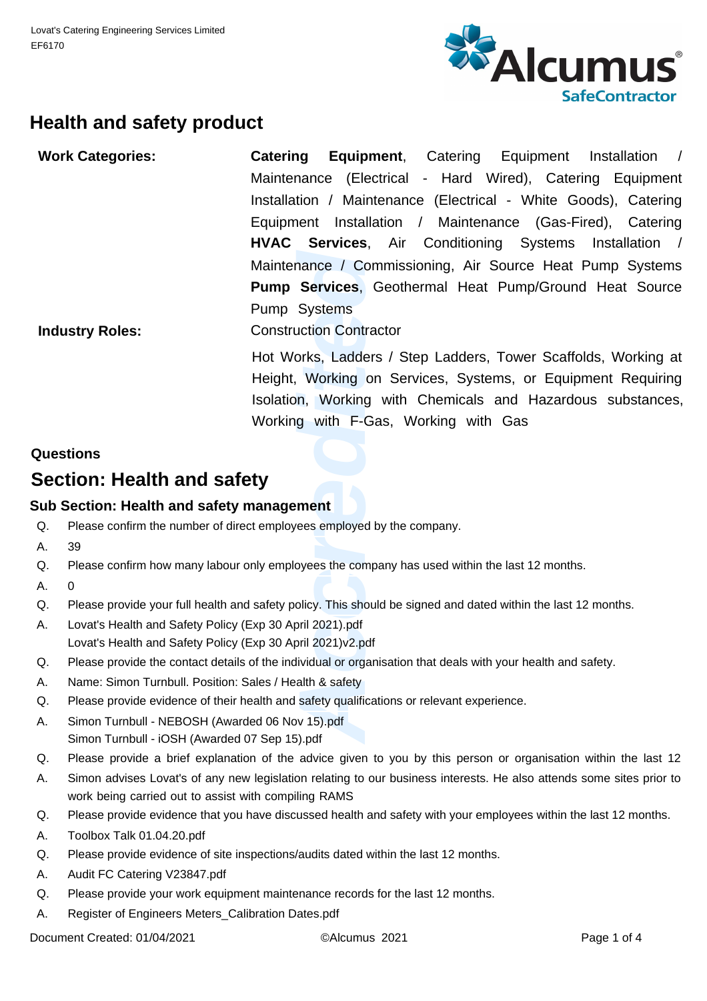

## **Health and safety product**

| <b>Work Categories:</b>                   |                                                                                                                        | Catering<br><b>Equipment, Catering</b><br>Equipment Installation /                                                                                                                            |  |  |  |  |  |
|-------------------------------------------|------------------------------------------------------------------------------------------------------------------------|-----------------------------------------------------------------------------------------------------------------------------------------------------------------------------------------------|--|--|--|--|--|
|                                           |                                                                                                                        | Maintenance (Electrical - Hard Wired), Catering Equipment                                                                                                                                     |  |  |  |  |  |
|                                           |                                                                                                                        | Installation / Maintenance (Electrical - White Goods), Catering                                                                                                                               |  |  |  |  |  |
|                                           |                                                                                                                        | Equipment Installation / Maintenance (Gas-Fired), Catering                                                                                                                                    |  |  |  |  |  |
|                                           |                                                                                                                        | <b>HVAC Services, Air Conditioning Systems</b><br>Installation /                                                                                                                              |  |  |  |  |  |
|                                           |                                                                                                                        | Maintenance / Commissioning, Air Source Heat Pump Systems                                                                                                                                     |  |  |  |  |  |
|                                           |                                                                                                                        | <b>Pump Services, Geothermal Heat Pump/Ground Heat Source</b>                                                                                                                                 |  |  |  |  |  |
|                                           |                                                                                                                        | Pump Systems                                                                                                                                                                                  |  |  |  |  |  |
| <b>Industry Roles:</b>                    |                                                                                                                        | <b>Construction Contractor</b>                                                                                                                                                                |  |  |  |  |  |
|                                           |                                                                                                                        | Hot Works, Ladders / Step Ladders, Tower Scaffolds, Working at<br>Height, Working on Services, Systems, or Equipment Requiring<br>Isolation, Working with Chemicals and Hazardous substances, |  |  |  |  |  |
|                                           |                                                                                                                        | Working with F-Gas, Working with Gas                                                                                                                                                          |  |  |  |  |  |
|                                           |                                                                                                                        |                                                                                                                                                                                               |  |  |  |  |  |
|                                           | Questions                                                                                                              |                                                                                                                                                                                               |  |  |  |  |  |
|                                           | Section: Health and safety                                                                                             |                                                                                                                                                                                               |  |  |  |  |  |
| Sub Section: Health and safety management |                                                                                                                        |                                                                                                                                                                                               |  |  |  |  |  |
| Q.                                        | Please confirm the number of direct employees employed by the company.                                                 |                                                                                                                                                                                               |  |  |  |  |  |
| А.                                        | 39                                                                                                                     |                                                                                                                                                                                               |  |  |  |  |  |
| Q.                                        | Please confirm how many labour only employees the company has used within the last 12 months.                          |                                                                                                                                                                                               |  |  |  |  |  |
| А.                                        | 0                                                                                                                      |                                                                                                                                                                                               |  |  |  |  |  |
| Q.                                        | Please provide your full health and safety policy. This should be signed and dated within the last 12 months.          |                                                                                                                                                                                               |  |  |  |  |  |
| А.                                        | Lovat's Health and Safety Policy (Exp 30 April 2021).pdf<br>Lovat's Health and Safety Policy (Exp 30 April 2021)v2.pdf |                                                                                                                                                                                               |  |  |  |  |  |
| Q.                                        | Please provide the contact details of the individual or organisation that deals with your health and safety.           |                                                                                                                                                                                               |  |  |  |  |  |
| Α.                                        | Name: Simon Turnbull. Position: Sales / Health & safety                                                                |                                                                                                                                                                                               |  |  |  |  |  |
| Q.                                        | Please provide evidence of their health and safety qualifications or relevant experience.                              |                                                                                                                                                                                               |  |  |  |  |  |
| А.                                        | Simon Turnbull - NEBOSH (Awarded 06 Nov 15).pdf<br>Simon Turnbull - iOSH (Awarded 07 Sen 15) ndf                       |                                                                                                                                                                                               |  |  |  |  |  |

#### **Questions**

## **Section: Health and safety**

#### **Sub Section: Health and safety management**

- Please confirm the number of direct employees employed by the company. Q.
- 39 A.
- Please confirm how many labour only employees the company has used within the last 12 months. Q.
- $\Omega$ A.
- Please provide your full health and safety policy. This should be signed and dated within the last 12 months. Q.
- Lovat's Health and Safety Policy (Exp 30 April 2021).pdf Lovat's Health and Safety Policy (Exp 30 April 2021)v2.pdf A.
- Please provide the contact details of the individual or organisation that deals with your health and safety. Q.
- Name: Simon Turnbull. Position: Sales / Health & safety A.
- Please provide evidence of their health and safety qualifications or relevant experience. Q.
- Simon Turnbull NEBOSH (Awarded 06 Nov 15).pdf Simon Turnbull - iOSH (Awarded 07 Sep 15).pdf A.
- Please provide a brief explanation of the advice given to you by this person or organisation within the last 12 Q.
- Simon advises Lovat's of any new legislation relating to our business interests. He also attends some sites prior to work being carried out to assist with compiling RAMS A.
- Please provide evidence that you have discussed health and safety with your employees within the last 12 months. Q.
- Toolbox Talk 01.04.20.pdf A.
- Please provide evidence of site inspections/audits dated within the last 12 months.  $\Omega$
- Audit FC Catering V23847.pdf A.
- Please provide your work equipment maintenance records for the last 12 months.  $\Omega$ .
- Register of Engineers Meters\_Calibration Dates.pdf A.

Document Created: 01/04/2021 ©Alcumus 2021 Page 1 of 4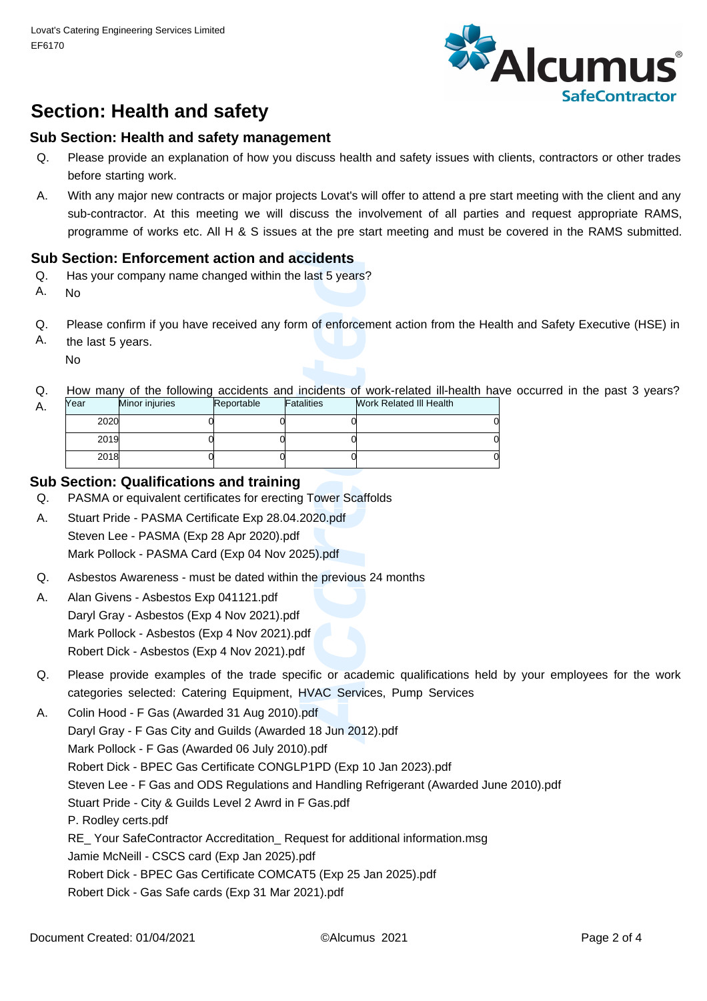

# **Section: Health and safety**

#### **Sub Section: Health and safety management**

- Please provide an explanation of how you discuss health and safety issues with clients, contractors or other trades before starting work. Q.
- With any major new contracts or major projects Lovat's will offer to attend a pre start meeting with the client and any sub-contractor. At this meeting we will discuss the involvement of all parties and request appropriate RAMS, programme of works etc. All H & S issues at the pre start meeting and must be covered in the RAMS submitted. A.

#### **Sub Section: Enforcement action and accidents**

- Has your company name changed within the last 5 years? Q.
- A. No

A.

- Please confirm if you have received any form of enforcement action from the Health and Safety Executive (HSE) in  $\Omega$ .
- the last 5 years. No A.
- How many of the following accidents and incidents of work-related ill-health have occurred in the past 3 years? Q.

| No                                                                                                                                        | Section: Enforcement action and accidents<br>Has your company name changed within the last 5 years? |            |            |                                                                                                                                                        |  |  |  |
|-------------------------------------------------------------------------------------------------------------------------------------------|-----------------------------------------------------------------------------------------------------|------------|------------|--------------------------------------------------------------------------------------------------------------------------------------------------------|--|--|--|
| the last 5 years.<br>No                                                                                                                   |                                                                                                     |            |            | Please confirm if you have received any form of enforcement action from the Healt                                                                      |  |  |  |
| Year                                                                                                                                      | Minor injuries                                                                                      | Reportable | Fatalities | How many of the following accidents and incidents of work-related ill-health have<br>Work Related III Health                                           |  |  |  |
| 2020                                                                                                                                      | 0                                                                                                   | 0          |            |                                                                                                                                                        |  |  |  |
| 2019                                                                                                                                      |                                                                                                     |            |            |                                                                                                                                                        |  |  |  |
| 2018                                                                                                                                      | ſ                                                                                                   | O          |            |                                                                                                                                                        |  |  |  |
| Section: Qualifications and training<br>PASMA or equivalent certificates for erecting Tower Scaffolds                                     |                                                                                                     |            |            |                                                                                                                                                        |  |  |  |
| Stuart Pride - PASMA Certificate Exp 28.04.2020.pdf                                                                                       |                                                                                                     |            |            |                                                                                                                                                        |  |  |  |
| Steven Lee - PASMA (Exp 28 Apr 2020).pdf                                                                                                  |                                                                                                     |            |            |                                                                                                                                                        |  |  |  |
| Mark Pollock - PASMA Card (Exp 04 Nov 2025).pdf                                                                                           |                                                                                                     |            |            |                                                                                                                                                        |  |  |  |
| Asbestos Awareness - must be dated within the previous 24 months                                                                          |                                                                                                     |            |            |                                                                                                                                                        |  |  |  |
| Alan Givens - Asbestos Exp 041121.pdf                                                                                                     |                                                                                                     |            |            |                                                                                                                                                        |  |  |  |
| Daryl Gray - Asbestos (Exp 4 Nov 2021).pdf<br>Mark Pollock - Asbestos (Exp 4 Nov 2021).pdf<br>Robert Dick - Asbestos (Exp 4 Nov 2021).pdf |                                                                                                     |            |            |                                                                                                                                                        |  |  |  |
|                                                                                                                                           |                                                                                                     |            |            | Please provide examples of the trade specific or academic qualifications held<br>categories selected: Catering Equipment, HVAC Services, Pump Services |  |  |  |
| Colin Hood - F Gas (Awarded 31 Aug 2010).pdf                                                                                              |                                                                                                     |            |            |                                                                                                                                                        |  |  |  |
| Daryl Gray - F Gas City and Guilds (Awarded 18 Jun 2012).pdf                                                                              |                                                                                                     |            |            |                                                                                                                                                        |  |  |  |

#### **Sub Section: Qualifications and training**

- PASMA or equivalent certificates for erecting Tower Scaffolds Q.
- Stuart Pride PASMA Certificate Exp 28.04.2020.pdf Steven Lee - PASMA (Exp 28 Apr 2020).pdf Mark Pollock - PASMA Card (Exp 04 Nov 2025).pdf A.
- Asbestos Awareness must be dated within the previous 24 months Q.
- Alan Givens Asbestos Exp 041121.pdf Daryl Gray - Asbestos (Exp 4 Nov 2021).pdf Mark Pollock - Asbestos (Exp 4 Nov 2021).pdf Robert Dick - Asbestos (Exp 4 Nov 2021).pdf A.
- Please provide examples of the trade specific or academic qualifications held by your employees for the work categories selected: Catering Equipment, HVAC Services, Pump Services Q.
- Colin Hood F Gas (Awarded 31 Aug 2010).pdf Daryl Gray - F Gas City and Guilds (Awarded 18 Jun 2012).pdf Mark Pollock - F Gas (Awarded 06 July 2010).pdf Robert Dick - BPEC Gas Certificate CONGLP1PD (Exp 10 Jan 2023).pdf Steven Lee - F Gas and ODS Regulations and Handling Refrigerant (Awarded June 2010).pdf Stuart Pride - City & Guilds Level 2 Awrd in F Gas.pdf P. Rodley certs.pdf RE\_ Your SafeContractor Accreditation\_ Request for additional information.msg Jamie McNeill - CSCS card (Exp Jan 2025).pdf Robert Dick - BPEC Gas Certificate COMCAT5 (Exp 25 Jan 2025).pdf Robert Dick - Gas Safe cards (Exp 31 Mar 2021).pdf A.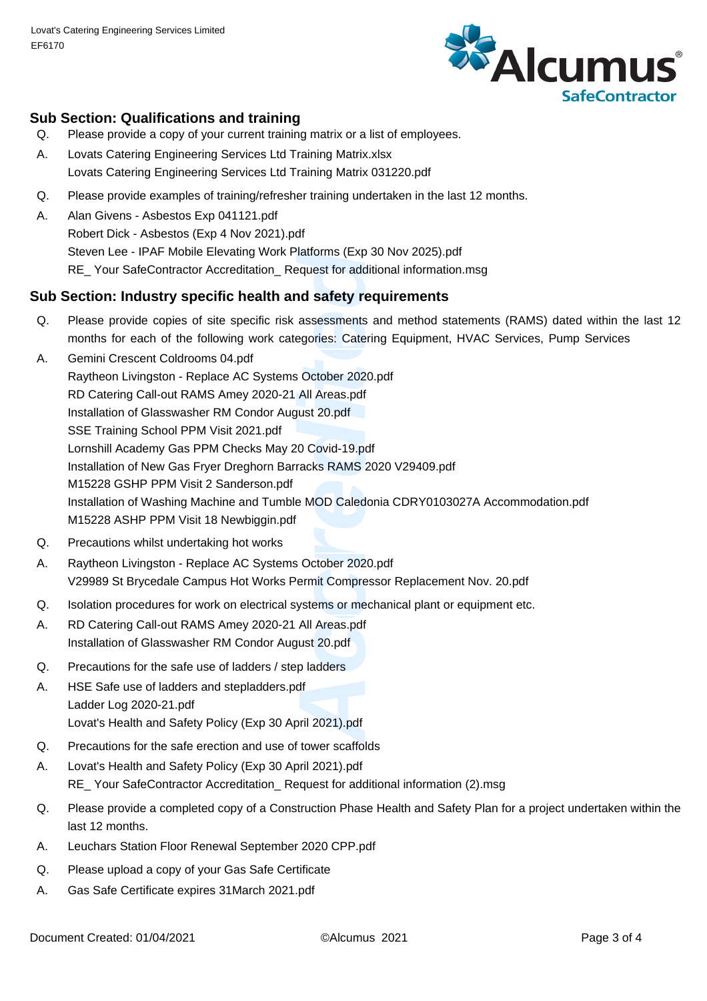

#### **Sub Section: Qualifications and training**

- Please provide a copy of your current training matrix or a list of employees. Q.
- Lovats Catering Engineering Services Ltd Training Matrix.xlsx Lovats Catering Engineering Services Ltd Training Matrix 031220.pdf A.
- Please provide examples of training/refresher training undertaken in the last 12 months. Q.
- Alan Givens Asbestos Exp 041121.pdf Robert Dick - Asbestos (Exp 4 Nov 2021).pdf Steven Lee - IPAF Mobile Elevating Work Platforms (Exp 30 Nov 2025).pdf RE\_ Your SafeContractor Accreditation\_ Request for additional information.msg A.

#### **Sub Section: Industry specific health and safety requirements**

- Please provide copies of site specific risk assessments and method statements (RAMS) dated within the last 12 months for each of the following work categories: Catering Equipment, HVAC Services, Pump Services  $\Omega$ .
- Platforms (Exp 30 Nov 20<br>
Platforms (Exp 30 Nov 20<br>
Platformational info<br> **Accredited Sciences:** Catering Equiple<br>
Begories: Catering Equiple<br>
Begories: Catering Equiple<br>
Replated 20.pdf<br>
Replated Sciences CDR Y<br>
Replated Gemini Crescent Coldrooms 04.pdf Raytheon Livingston - Replace AC Systems October 2020.pdf RD Catering Call-out RAMS Amey 2020-21 All Areas.pdf Installation of Glasswasher RM Condor August 20.pdf SSE Training School PPM Visit 2021.pdf Lornshill Academy Gas PPM Checks May 20 Covid-19.pdf Installation of New Gas Fryer Dreghorn Barracks RAMS 2020 V29409.pdf M15228 GSHP PPM Visit 2 Sanderson.pdf Installation of Washing Machine and Tumble MOD Caledonia CDRY0103027A Accommodation.pdf M15228 ASHP PPM Visit 18 Newbiggin.pdf A.
- Precautions whilst undertaking hot works Q.
- Raytheon Livingston Replace AC Systems October 2020.pdf V29989 St Brycedale Campus Hot Works Permit Compressor Replacement Nov. 20.pdf A.
- Isolation procedures for work on electrical systems or mechanical plant or equipment etc. Q.
- RD Catering Call-out RAMS Amey 2020-21 All Areas.pdf Installation of Glasswasher RM Condor August 20.pdf A.
- Precautions for the safe use of ladders / step ladders Q.
- HSE Safe use of ladders and stepladders.pdf Ladder Log 2020-21.pdf Lovat's Health and Safety Policy (Exp 30 April 2021).pdf A.
- Precautions for the safe erection and use of tower scaffolds Q.
- Lovat's Health and Safety Policy (Exp 30 April 2021).pdf RE\_ Your SafeContractor Accreditation\_ Request for additional information (2).msg A.
- Please provide a completed copy of a Construction Phase Health and Safety Plan for a project undertaken within the last 12 months. Q.
- A. Leuchars Station Floor Renewal September 2020 CPP.pdf
- Please upload a copy of your Gas Safe Certificate Q.
- A. Gas Safe Certificate expires 31March 2021.pdf